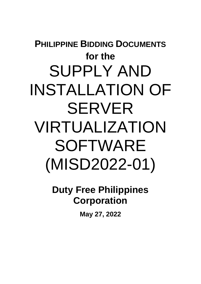# **PHILIPPINE BIDDING DOCUMENTS for the**  SUPPLY AND INSTALLATION OF SERVER VIRTUALIZATION SOFTWARE (MISD2022-01)

**Duty Free Philippines Corporation**

**May 27, 2022**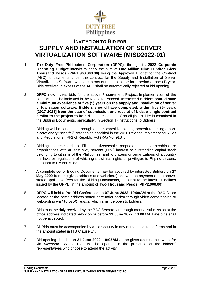

# **INVITATION TO BID FOR SUPPLY AND INSTALLATION OF SERVER VIRTUALIZATION SOFTWARE (MISD2022-01)**

- 1. The **Duty Free Philippines Corporation (DFPC)**, through its **2022 Corporate Operating Budget** intends to apply the sum of **One Million Nine Hundred Sixty Thousand Pesos (PhP1,960,000.00)** being the Approved Budget for the Contract (ABC) to payments under the contract for the Supply and Installation of Server Virtualization Software whose contract duration shall be for a period of one (1) year. Bids received in excess of the ABC shall be automatically rejected at bid opening.
- 2. **DFPC** now invites bids for the above Procurement Project. Implementation of the contract shall be indicated in the Notice to Proceed. **Interested Bidders should have a minimum experience of five (5) years on the supply and installation of server virtualization software. Bidders should have completed, within five (5) years [2017-2021] from the date of submission and receipt of bids, a single contract similar to the project to be bid.** The description of an eligible bidder is contained in the Bidding Documents, particularly, in Section II (Instructions to Bidders).

Bidding will be conducted through open competitive bidding procedures using a nondiscretionary "*pass/fail*" criterion as specified in the 2016 Revised Implementing Rules and Regulations (IRR) of Republic Act (RA) No. 9184.

- 3. Bidding is restricted to Filipino citizens/sole proprietorships, partnerships, or organizations with at least sixty percent (60%) interest or outstanding capital stock belonging to citizens of the Philippines, and to citizens or organizations of a country the laws or regulations of which grant similar rights or privileges to Filipino citizens, pursuant to RA No. 5183.
- 4. A complete set of Bidding Documents may be acquired by interested Bidders on **27 May 2022** from the given address and website(s) below upon payment of the abovestated applicable fees for the Bidding Documents, pursuant to the latest Guidelines issued by the GPPB, in the amount of **Two Thousand Pesos (PhP2,000.00).**
- 5. **DFPC** will hold a Pre-Bid Conference on **07 June 2022, 10:00AM** at the BAC Office located at the same address stated hereunder and/or through video conferencing or webcasting *via Microsoft Teams,* which shall be open to bidders.
- 6. Bids must be duly received by the BAC Secretariat through manual submission at the office address indicated below on or before **21 June 2022, 10:00AM***.* Late bids shall not be accepted.
- 7. All Bids must be accompanied by a bid security in any of the acceptable forms and in the amount stated in **ITB** Clause 14.
- 8. Bid opening shall be on **21 June 2022, 10:05AM** at the given address below and/or via *Microsoft Teams***.** Bids will be opened in the presence of the bidders' representatives who choose to attend the activity.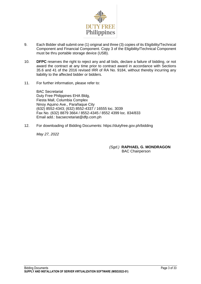

- 9. Each Bidder shall submit one (1) original and three (3) copies of its Eligibility/Technical Component and Financial Component. Copy 3 of the Eligibility/Technical Component must be thru portable storage device (USB).
- 10. **DFPC** reserves the right to reject any and all bids, declare a failure of bidding, or not award the contract at any time prior to contract award in accordance with Sections 35.6 and 41 of the 2016 revised IRR of RA No. 9184, without thereby incurring any liability to the affected bidder or bidders.
- 11. For further information, please refer to:

BAC Secretariat Duty Free Philippines EHA Bldg, Fiesta Mall, Columbia Complex Ninoy Aquino Ave., Parañaque City (632) 8552-4343; (632) 8552-4337 / 16555 loc. 3039 Fax No. (632) 8879 3664 / 8552-4345 / 8552 4399 loc. 834/833 Email add.: bacsecretariat@dfp.com.ph

12. For downloading of Bidding Documents: https://dutyfree.gov.ph/bidding

*May 27, 2022*

*(Sgd.)* **RAPHAEL G. MONDRAGON BAC Chairperson**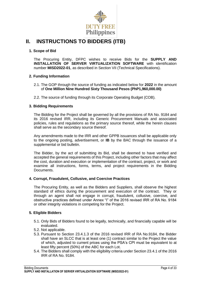

### **II. INSTRUCTIONS TO BIDDERS (ITB)**

### **1. Scope of Bid**

The Procuring Entity, DFPC wishes to receive Bids for the **SUPPLY AND INSTALLATION OF SERVER VIRTUALIZATION SOFTWARE** with identification number **MISD2022-01**, as described in Section VII (Technical Specifications).

### **2. Funding Information**

- 2.1. The GOP through the source of funding as indicated below for **2022** in the amount of **One Million Nine Hundred Sixty Thousand Pesos (PhP1,960,000.00)**
- 2.2. The source of funding through its Corporate Operating Budget (COB).

### **3. Bidding Requirements**

The Bidding for the Project shall be governed by all the provisions of RA No. 9184 and its 2016 revised IRR, including its Generic Procurement Manuals and associated policies, rules and regulations as the primary source thereof, while the herein clauses shall serve as the secondary source thereof.

Any amendments made to the IRR and other GPPB issuances shall be applicable only to the ongoing posting, advertisement, or **IB** by the BAC through the issuance of a supplemental or bid bulletin.

The Bidder, by the act of submitting its Bid, shall be deemed to have verified and accepted the general requirements of this Project, including other factors that may affect the cost, duration and execution or implementation of the contract, project, or work and examine all instructions, forms, terms, and project requirements in the Bidding Documents.

#### **4. Corrupt, Fraudulent, Collusive, and Coercive Practices**

The Procuring Entity, as well as the Bidders and Suppliers, shall observe the highest standard of ethics during the procurement and execution of the contract. They or through an agent shall not engage in corrupt, fraudulent, collusive, coercive, and obstructive practices defined under Annex "I" of the 2016 revised IRR of RA No. 9184 or other integrity violations in competing for the Project.

### **5. Eligible Bidders**

- 5.1. Only Bids of Bidders found to be legally, technically, and financially capable will be evaluated.
- 5.2. Not applicable.
- 5.3. Pursuant to Section 23.4.1.3 of the 2016 revised IRR of RA No.9184, the Bidder shall have an SLCC that is at least one (1) contract similar to the Project the value of which, adjusted to current prices using the PSA's CPI must be equivalent to at least fifty percent (50%) of the ABC for each Lot.
- 5.4. The Bidders shall comply with the eligibility criteria under Section 23.4.1 of the 2016 IRR of RA No. 9184.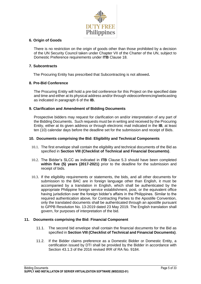

### **6. Origin of Goods**

There is no restriction on the origin of goods other than those prohibited by a decision of the UN Security Council taken under Chapter VII of the Charter of the UN, subject to Domestic Preference requirements under **ITB** Clause 18.

### **7. Subcontracts**

The Procuring Entity has prescribed that Subcontracting is not allowed**.**

### **8. Pre-Bid Conference**

The Procuring Entity will hold a pre-bid conference for this Project on the specified date and time and either at its physical address and/or through videoconferencing/webcasting as indicated in paragraph 6 of the **IB.**

### **9. Clarification and Amendment of Bidding Documents**

Prospective bidders may request for clarification on and/or interpretation of any part of the Bidding Documents. Such requests must be in writing and received by the Procuring Entity, either at its given address or through electronic mail indicated in the **IB**, at least ten (10) calendar days before the deadline set for the submission and receipt of Bids.

### **10. Documents comprising the Bid: Eligibility and Technical Components**

- 10.1. The first envelope shall contain the eligibility and technical documents of the Bid as specified in **Section VIII (Checklist of Technical and Financial Documents)**.
- 10.2. The Bidder's SLCC as indicated in **ITB** Clause 5.3 should have been completed **within five (5) years (2017-2021)** prior to the deadline for the submission and receipt of bids.
- 10.3. If the eligibility requirements or statements, the bids, and all other documents for submission to the BAC are in foreign language other than English, it must be accompanied by a translation in English, which shall be authenticated by the appropriate Philippine foreign service establishment, post, or the equivalent office having jurisdiction over the foreign bidder's affairs in the Philippines. Similar to the required authentication above, for Contracting Parties to the Apostille Convention, only the translated documents shall be authenticated through an apostille pursuant to GPPB Resolution No. 13-2019 dated 23 May 2019. The English translation shall govern, for purposes of interpretation of the bid.

### **11. Documents comprising the Bid: Financial Component**

- 11.1. The second bid envelope shall contain the financial documents for the Bid as specified in **Section VIII (Checklist of Technical and Financial Documents)**.
- 11.2. If the Bidder claims preference as a Domestic Bidder or Domestic Entity, a certification issued by DTI shall be provided by the Bidder in accordance with Section 43.1.3 of the 2016 revised IRR of RA No. 9184.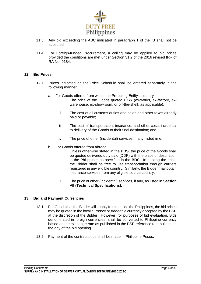

- 11.3. Any bid exceeding the ABC indicated in paragraph 1 of the **IB** shall not be accepted.
- 11.4. For Foreign-funded Procurement, a ceiling may be applied to bid prices provided the conditions are met under Section 31.2 of the 2016 revised IRR of RA No. 9184.

### **12. Bid Prices**

- 12.1. Prices indicated on the Price Schedule shall be entered separately in the following manner:
	- a. For Goods offered from within the Procuring Entity's country:
		- i. The price of the Goods quoted EXW (ex-works, ex-factory, exwarehouse, ex-showroom, or off-the-shelf, as applicable);
		- ii. The cost of all customs duties and sales and other taxes already paid or payable;
		- iii. The cost of transportation, insurance, and other costs incidental to delivery of the Goods to their final destination; and
		- iv. The price of other (incidental) services, if any, listed in e.
	- b. For Goods offered from abroad:
		- i. Unless otherwise stated in the **BDS**, the price of the Goods shall be quoted delivered duty paid (DDP) with the place of destination in the Philippines as specified in the **BDS**. In quoting the price, the Bidder shall be free to use transportation through carriers registered in any eligible country. Similarly, the Bidder may obtain insurance services from any eligible source country.
		- ii. The price of other (incidental) services, if any, as listed in **Section VII (Technical Specifications).**

### **13. Bid and Payment Currencies**

- 13.1. For Goods that the Bidder will supply from outside the Philippines, the bid prices may be quoted in the local currency or tradeable currency accepted by the BSP at the discretion of the Bidder. However, for purposes of bid evaluation, Bids denominated in foreign currencies, shall be converted to Philippine currency based on the exchange rate as published in the BSP reference rate bulletin on the day of the bid opening.
- 13.2. Payment of the contract price shall be made in Philippine Pesos.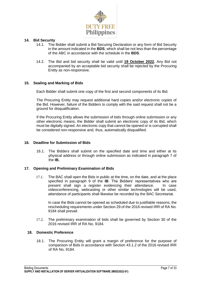

### **14. Bid Security**

- 14.1. The Bidder shall submit a Bid Securing Declaration or any form of Bid Security in the amount indicated in the **BDS**, which shall be not less than the percentage of the ABC in accordance with the schedule in the **BDS**.
- 14.2. The Bid and bid security shall be valid until **19 October 2022.** Any Bid not accompanied by an acceptable bid security shall be rejected by the Procuring Entity as non-responsive.

### **15. Sealing and Marking of Bids**

Each Bidder shall submit one copy of the first and second components of its Bid.

The Procuring Entity may request additional hard copies and/or electronic copies of the Bid. However, failure of the Bidders to comply with the said request shall not be a ground for disqualification.

If the Procuring Entity allows the submission of bids through online submission or any other electronic means, the Bidder shall submit an electronic copy of its Bid, which must be digitally signed. An electronic copy that cannot be opened or is corrupted shall be considered non-responsive and, thus, automatically disqualified.

### **16. Deadline for Submission of Bids**

16.1. The Bidders shall submit on the specified date and time and either at its physical address or through online submission as indicated in paragraph 7 of the **IB.** 

#### **17. Opening and Preliminary Examination of Bids**

17.1. The BAC shall open the Bids in public at the time, on the date, and at the place specified in paragraph 9 of the **IB**. The Bidders' representatives who are present shall sign a register evidencing their attendance. In case videoconferencing, webcasting or other similar technologies will be used, attendance of participants shall likewise be recorded by the BAC Secretariat.

In case the Bids cannot be opened as scheduled due to justifiable reasons, the rescheduling requirements under Section 29 of the 2016 revised IRR of RA No. 9184 shall prevail.

17.2. The preliminary examination of bids shall be governed by Section 30 of the 2016 revised IRR of RA No. 9184.

### **18. Domestic Preference**

18.1. The Procuring Entity will grant a margin of preference for the purpose of comparison of Bids in accordance with Section 43.1.2 of the 2016 revised IRR of RA No. 9184.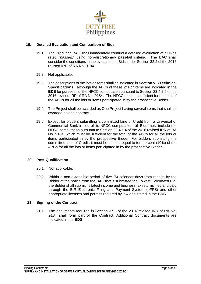

### **19. Detailed Evaluation and Comparison of Bids**

- 19.1. The Procuring BAC shall immediately conduct a detailed evaluation of all Bids rated "*passed*," using non-discretionary pass/fail criteria. The BAC shall consider the conditions in the evaluation of Bids under Section 32.2 of the 2016 revised IRR of RA No. 9184.
- 19.2. Not applicable.
- 19.3. The descriptions of the lots or items shall be indicated in **Section VII (Technical Specifications)**, although the ABCs of these lots or items are indicated in the **BDS** for purposes of the NFCC computation pursuant to Section 23.4.2.6 of the 2016 revised IRR of RA No. 9184. The NFCC must be sufficient for the total of the ABCs for all the lots or items participated in by the prospective Bidder.
- 19.4. The Project shall be awarded as One Project having several items that shall be awarded as one contract.
- 19.5. Except for bidders submitting a committed Line of Credit from a Universal or Commercial Bank in lieu of its NFCC computation, all Bids must include the NFCC computation pursuant to Section 23.4.1.4 of the 2016 revised IRR of RA No. 9184, which must be sufficient for the total of the ABCs for all the lots or items participated in by the prospective Bidder. For bidders submitting the committed Line of Credit, it must be at least equal to ten percent (10%) of the ABCs for all the lots or items participated in by the prospective Bidder.

### **20. Post-Qualification**

- 20.1. Not applicable.
- 20.2. Within a non-extendible period of five (5) calendar days from receipt by the Bidder of the notice from the BAC that it submitted the Lowest Calculated Bid, the Bidder shall submit its latest income and business tax returns filed and paid through the BIR Electronic Filing and Payment System (eFPS) and other appropriate licenses and permits required by law and stated in the **BDS**.

### **21. Signing of the Contract**

21.1. The documents required in Section 37.2 of the 2016 revised IRR of RA No. 9184 shall form part of the Contract. Additional Contract documents are indicated in the **BDS**.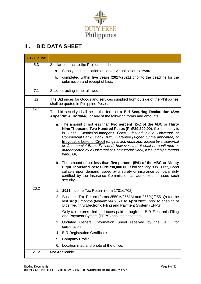

# **III. BID DATA SHEET**

| <b>ITB Clause</b> |                                                                                                                                                                                                                                                                                                                                                                                                                                                                                                                                                                                                                                                                                                                                                                                                                                           |
|-------------------|-------------------------------------------------------------------------------------------------------------------------------------------------------------------------------------------------------------------------------------------------------------------------------------------------------------------------------------------------------------------------------------------------------------------------------------------------------------------------------------------------------------------------------------------------------------------------------------------------------------------------------------------------------------------------------------------------------------------------------------------------------------------------------------------------------------------------------------------|
| 5.3               | Similar contract to the Project shall be:                                                                                                                                                                                                                                                                                                                                                                                                                                                                                                                                                                                                                                                                                                                                                                                                 |
|                   | Supply and installation of server virtualization software<br>a.                                                                                                                                                                                                                                                                                                                                                                                                                                                                                                                                                                                                                                                                                                                                                                           |
|                   | completed within five years (2017-2021) prior to the deadline for the<br>b.<br>submission and receipt of bids.                                                                                                                                                                                                                                                                                                                                                                                                                                                                                                                                                                                                                                                                                                                            |
| 7.1               | Subcontracting is not allowed.                                                                                                                                                                                                                                                                                                                                                                                                                                                                                                                                                                                                                                                                                                                                                                                                            |
| 12                | The Bid prices for Goods and services supplied from outside of the Philippines<br>shall be quoted in Philippine Pesos.                                                                                                                                                                                                                                                                                                                                                                                                                                                                                                                                                                                                                                                                                                                    |
| 14.1              | The bid security shall be in the form of a Bid Securing Declaration (See<br>Appendix A, original), or any of the following forms and amounts:                                                                                                                                                                                                                                                                                                                                                                                                                                                                                                                                                                                                                                                                                             |
|                   | a. The amount of not less than two percent (2%) of the ABC or Thirty<br>Nine Thousand Two Hundred Pesos (PhP39,200.00), if bid security is<br>in Cash, Cashier's/Manager's Check (issued by a Universal or<br>Commercial Bank), Bank Draft/Guarantee (signed by the appointee) or<br>Irrevocable Letter of Credit (original and notarized) issued by a Universal<br>or Commercial Bank: Provided, however, that it shall be confirmed or<br>authenticated by a Universal or Commercial Bank, if issued by a foreign<br>bank. Or;<br>b. The amount of not less than five percent (5%) of the ABC or Ninety<br>Eight Thousand Pesos (PhP98,000.00) if bid security is in Surety Bond<br>callable upon demand issued by a surety or insurance company duly<br>certified by the Insurance Commission as authorized to issue such<br>security. |
| 20.2              | 1. 2021 Income Tax Return (form 1701/1702)                                                                                                                                                                                                                                                                                                                                                                                                                                                                                                                                                                                                                                                                                                                                                                                                |
|                   | 2. Business Tax Return (forms 2550M/2551M and 2550Q/2551Q) for the<br>last six (6) months (November 2021 to April 2022) prior to opening of<br>Bids filed thru Electronic Filing and Payment System (EFPS).                                                                                                                                                                                                                                                                                                                                                                                                                                                                                                                                                                                                                               |
|                   | Only tax returns filed and taxes paid through the BIR Electronic Filing<br>and Payment System (EFPS) shall be accepted.                                                                                                                                                                                                                                                                                                                                                                                                                                                                                                                                                                                                                                                                                                                   |
|                   | 3. Updated General Information Sheet received by the SEC, for<br>corporation.                                                                                                                                                                                                                                                                                                                                                                                                                                                                                                                                                                                                                                                                                                                                                             |
|                   | 4. BIR Registration Certificate.                                                                                                                                                                                                                                                                                                                                                                                                                                                                                                                                                                                                                                                                                                                                                                                                          |
|                   | Company Profile.<br>5.                                                                                                                                                                                                                                                                                                                                                                                                                                                                                                                                                                                                                                                                                                                                                                                                                    |
|                   | 6.<br>Location map and photo of the office.                                                                                                                                                                                                                                                                                                                                                                                                                                                                                                                                                                                                                                                                                                                                                                                               |
| 21.2              | Not Applicable.                                                                                                                                                                                                                                                                                                                                                                                                                                                                                                                                                                                                                                                                                                                                                                                                                           |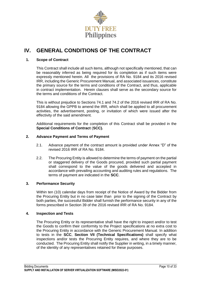

# **IV. GENERAL CONDITIONS OF THE CONTRACT**

### **1. Scope of Contract**

This Contract shall include all such items, although not specifically mentioned, that can be reasonably inferred as being required for its completion as if such items were expressly mentioned herein. All the provisions of RA No. 9184 and its 2016 revised IRR, including the Generic Procurement Manual, and associated issuances, constitute the primary source for the terms and conditions of the Contract, and thus, applicable in contract implementation. Herein clauses shall serve as the secondary source for the terms and conditions of the Contract.

This is without prejudice to Sections 74.1 and 74.2 of the 2016 revised IRR of RA No. 9184 allowing the GPPB to amend the IRR, which shall be applied to all procurement activities, the advertisement, posting, or invitation of which were issued after the effectivity of the said amendment.

Additional requirements for the completion of this Contract shall be provided in the **Special Conditions of Contract** (**SCC).**

### **2. Advance Payment and Terms of Payment**

- 2.1. Advance payment of the contract amount is provided under Annex "D" of the revised 2016 IRR of RA No. 9184.
- 2.2. The Procuring Entity is allowed to determine the terms of payment on the partial or staggered delivery of the Goods procured, provided such partial payment shall correspond to the value of the goods delivered and accepted in accordance with prevailing accounting and auditing rules and regulations. The terms of payment are indicated in the **SCC**.

### **3. Performance Security**

Within ten (10) calendar days from receipt of the Notice of Award by the Bidder from the Procuring Entity but in no case later than prior to the signing of the Contract by both parties, the successful Bidder shall furnish the performance security in any of the forms prescribed in Section 39 of the 2016 revised IRR of RA No. 9184.

### **4. Inspection and Tests**

The Procuring Entity or its representative shall have the right to inspect and/or to test the Goods to confirm their conformity to the Project specifications at no extra cost to the Procuring Entity in accordance with the Generic Procurement Manual. In addition to tests in the **SCC**, **Section VII (Technical Specifications)** shall specify what inspections and/or tests the Procuring Entity requires, and where they are to be conducted. The Procuring Entity shall notify the Supplier in writing, in a timely manner, of the identity of any representatives retained for these purposes.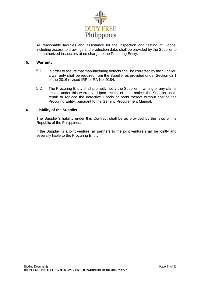

All reasonable facilities and assistance for the inspection and testing of Goods, including access to drawings and production data, shall be provided by the Supplier to the authorized inspectors at no charge to the Procuring Entity.

### **5. Warranty**

- 5.1 In order to assure that manufacturing defects shall be corrected by the Supplier, a warranty shall be required from the Supplier as provided under Section 62.1 of the 2016 revised IRR of RA No. 9184.
- 5.2 The Procuring Entity shall promptly notify the Supplier in writing of any claims arising under this warranty. Upon receipt of such notice, the Supplier shall, repair or replace the defective Goods or parts thereof without cost to the Procuring Entity, pursuant to the Generic Procurement Manual.

### **6. Liability of the Supplier**

The Supplier's liability under this Contract shall be as provided by the laws of the Republic of the Philippines.

If the Supplier is a joint venture, all partners to the joint venture shall be jointly and severally liable to the Procuring Entity.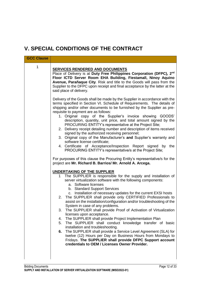# **V. SPECIAL CONDITIONS OF THE CONTRACT**

| <b>GCC Clause</b> |                                                                                                                                                                                                                                                                                                                                                                                                                                                                                                                                                                                                                                                                                                                                                                                                                                                                                                                                                                                                                                                                                                                                                                                                                                                                                                                                                                                                                                                                                                                                                                                                                                                                                                                                                                                                                                                                                                                                                                                                           |
|-------------------|-----------------------------------------------------------------------------------------------------------------------------------------------------------------------------------------------------------------------------------------------------------------------------------------------------------------------------------------------------------------------------------------------------------------------------------------------------------------------------------------------------------------------------------------------------------------------------------------------------------------------------------------------------------------------------------------------------------------------------------------------------------------------------------------------------------------------------------------------------------------------------------------------------------------------------------------------------------------------------------------------------------------------------------------------------------------------------------------------------------------------------------------------------------------------------------------------------------------------------------------------------------------------------------------------------------------------------------------------------------------------------------------------------------------------------------------------------------------------------------------------------------------------------------------------------------------------------------------------------------------------------------------------------------------------------------------------------------------------------------------------------------------------------------------------------------------------------------------------------------------------------------------------------------------------------------------------------------------------------------------------------------|
| 1                 | <b>SERVICES RENDERED AND DOCUMENTS</b><br>Place of Delivery is at Duty Free Philippines Corporation (DFPC), 2nd<br>Floor ICTD Server Room EHA Building, Fiestamall, Ninoy Aquino<br>Avenue, Parañaque City. Risk and title to the Goods will pass from the<br>Supplier to the DFPC upon receipt and final acceptance by the latter at the<br>said place of delivery.                                                                                                                                                                                                                                                                                                                                                                                                                                                                                                                                                                                                                                                                                                                                                                                                                                                                                                                                                                                                                                                                                                                                                                                                                                                                                                                                                                                                                                                                                                                                                                                                                                      |
|                   | Delivery of the Goods shall be made by the Supplier in accordance with the<br>terms specified in Section VI. Schedule of Requirements. The details of<br>shipping and/or other documents to be furnished by the Supplier as pre-<br>requisite to payment are as follows:<br>1. Original copy of the Supplier's invoice showing GOODS'<br>description, quantity, unit price, and total amount signed by the<br>PROCURING ENTITY's representative at the Project Site;<br>2. Delivery receipt detailing number and description of items received<br>signed by the authorized receiving personnel;<br>3. Original copy of the Manufacturer's and Supplier's warranty and<br>software license certificate;<br>4. Certificate of Acceptance/Inspection Report signed by the<br>PROCURING ENTITY's representative/s at the Project Site;<br>For purposes of this clause the Procuring Entity's representative/s for the<br>project are Mr. Richard B. Barrios/ Mr. Arnold A. Arcega.<br><b>UNDERTAKING OF THE SUPPLIER</b><br>The SUPPLIER is responsible for the supply and installation of<br>1.<br>server virtualization software with the following components:<br>a. Software licenses<br>b. Standard Support Services<br>c. Installation of necessary updates for the current EXSI hosts<br>The SUPPLIER shall provide only CERTIFIED Professionals to<br>2.<br>assist on the installation/configuration and/or troubleshooting of the<br>System in case of any problems.<br>The SUPPLIER shall provide Proof of Activation of Virtualization<br>3.<br>licenses upon acceptance.<br>The SUPPLIER shall provide Project Implementation Plan<br>4.<br>The SUPPLIER shall conduct knowledge transfer of basic<br>5.<br>installation and troubleshooting.<br>The SUPPLIER shall provide a Service Level Agreement (SLA) for<br>6.<br>twelve (12) Hours per Day on Business Hours from Mondays to<br>Fridays. The SUPPLIER shall provide DFPC Support account<br>credentials to OEM / Licenses Owner Provider. |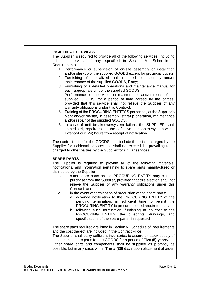|                    | <b>INCIDENTAL SERVICES</b><br>The Supplier is required to provide all of the following services, including                               |
|--------------------|------------------------------------------------------------------------------------------------------------------------------------------|
|                    | additional services, if any, specified in Section VI. Schedule of                                                                        |
| Requirements:      |                                                                                                                                          |
|                    | 1. Performance or supervision of on-site assembly or installation                                                                        |
|                    | and/or start-up of the supplied GOODS except for provincial outlets;                                                                     |
|                    | 2. Furnishing of specialized tools required for assembly and/or                                                                          |
|                    | maintenance of the supplied GOODS, if any;                                                                                               |
|                    | 3. Furnishing of a detailed operations and maintenance manual for                                                                        |
|                    | each appropriate unit of the supplied GOODS;                                                                                             |
|                    | 4. Performance or supervision or maintenance and/or repair of the                                                                        |
|                    | supplied GOODS, for a period of time agreed by the parties,                                                                              |
|                    | provided that this service shall not relieve the Supplier of any                                                                         |
|                    | warranty obligations under this Contract;                                                                                                |
|                    | 5. Training of the PROCURING ENTITY'S personnel, at the Supplier's<br>plant and/or on-site, in assembly, start-up operation, maintenance |
|                    | and/or repair of the supplied GOODS.                                                                                                     |
|                    | 6. In case of unit breakdown/system failure, the SUPPLIER shall                                                                          |
|                    | immediately repair/replace the defective component/system within                                                                         |
|                    | Twenty-Four (24) hours from receipt of notification.                                                                                     |
|                    |                                                                                                                                          |
|                    | The contract price for the GOODS shall include the prices charged by the                                                                 |
|                    | Supplier for incidental services and shall not exceed the prevailing rates                                                               |
|                    | charged to other parties by the Supplier for similar services.                                                                           |
|                    |                                                                                                                                          |
| <b>SPARE PARTS</b> | The Supplier is required to provide all of the following materials,                                                                      |
|                    | notifications, and information pertaining to spare parts manufactured or                                                                 |
|                    | distributed by the Supplier:                                                                                                             |
| 1.                 | such spare parts as the PROCURING ENTITY may elect to                                                                                    |
|                    | purchase from the Supplier, provided that this election shall not                                                                        |
|                    | relieve the Supplier of any warranty obligations under this                                                                              |
|                    | Contract; and                                                                                                                            |
| 2.                 | in the event of termination of production of the spare parts:                                                                            |
|                    | a. advance notification to the PROCURING ENTITY of the                                                                                   |
|                    | pending termination, in sufficient time to permit the                                                                                    |
|                    | PROCURING ENTITY to procure needed requirements; and                                                                                     |
|                    | b. following such termination, furnishing at no cost to the                                                                              |
|                    | PROCURING ENTITY, the blueprints, drawings,<br>and                                                                                       |
|                    |                                                                                                                                          |
|                    | specifications of the spare parts, if requested.                                                                                         |
|                    |                                                                                                                                          |
|                    | The spare parts required are listed in Section VI. Schedule of Requirements                                                              |
|                    | and the cost thereof are included in the Contract Price.                                                                                 |
|                    | The Supplier shall carry sufficient inventories to assure ex-stock supply of                                                             |
|                    | consumable spare parts for the GOODS for a period of Five (5) years.                                                                     |
|                    | Other spare parts and components shall be supplied as promptly as                                                                        |
|                    | possible, but in any case, within Thirty (30) days upon placement of order.                                                              |
|                    |                                                                                                                                          |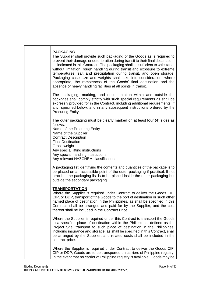| <b>PACKAGING</b><br>The Supplier shall provide such packaging of the Goods as is required to<br>prevent their damage or deterioration during transit to their final destination,<br>as indicated in this Contract. The packaging shall be sufficient to withstand,<br>without limitation, rough handling during transit and exposure to extreme<br>temperatures, salt and precipitation during transit, and open storage.<br>Packaging case size and weights shall take into consideration, where<br>appropriate, the remoteness of the Goods' final destination and the<br>absence of heavy handling facilities at all points in transit. |
|--------------------------------------------------------------------------------------------------------------------------------------------------------------------------------------------------------------------------------------------------------------------------------------------------------------------------------------------------------------------------------------------------------------------------------------------------------------------------------------------------------------------------------------------------------------------------------------------------------------------------------------------|
| The packaging, marking, and documentation within and outside the<br>packages shall comply strictly with such special requirements as shall be<br>expressly provided for in the Contract, including additional requirements, if<br>any, specified below, and in any subsequent instructions ordered by the<br>Procuring Entity.                                                                                                                                                                                                                                                                                                             |
| The outer packaging must be clearly marked on at least four (4) sides as<br>follows:<br>Name of the Procuring Entity<br>Name of the Supplier<br><b>Contract Description</b><br><b>Final Destination</b><br>Gross weight<br>Any special lifting instructions<br>Any special handling instructions<br>Any relevant HAZCHEM classifications                                                                                                                                                                                                                                                                                                   |
| A packaging list identifying the contents and quantities of the package is to<br>be placed on an accessible point of the outer packaging if practical. If not<br>practical the packaging list is to be placed inside the outer packaging but<br>outside the secondary packaging.                                                                                                                                                                                                                                                                                                                                                           |
| <b>TRANSPORTATION</b><br>Where the Supplier is required under Contract to deliver the Goods CIF,<br>CIP, or DDP, transport of the Goods to the port of destination or such other<br>named place of destination in the Philippines, as shall be specified in this<br>Contract, shall be arranged and paid for by the Supplier, and the cost<br>thereof shall be included in the Contract Price.                                                                                                                                                                                                                                             |
| Where the Supplier is required under this Contract to transport the Goods<br>to a specified place of destination within the Philippines, defined as the<br>Project Site, transport to such place of destination in the Philippines,<br>including insurance and storage, as shall be specified in this Contract, shall<br>be arranged by the Supplier, and related costs shall be included in the<br>contract price.                                                                                                                                                                                                                        |
| Where the Supplier is required under Contract to deliver the Goods CIF,<br>CIP or DDP, Goods are to be transported on carriers of Philippine registry.<br>In the event that no carrier of Philippine registry is available, Goods may be                                                                                                                                                                                                                                                                                                                                                                                                   |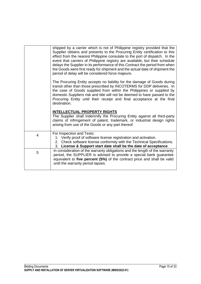|   | shipped by a carrier which is not of Philippine registry provided that the<br>Supplier obtains and presents to the Procuring Entity certification to this<br>effect from the nearest Philippine consulate to the port of dispatch. In the<br>event that carriers of Philippine registry are available, but their schedule<br>delays the Supplier in its performance of this Contract the period from when<br>the Goods were first ready for shipment and the actual date of shipment the<br>period of delay will be considered force majeure. |
|---|-----------------------------------------------------------------------------------------------------------------------------------------------------------------------------------------------------------------------------------------------------------------------------------------------------------------------------------------------------------------------------------------------------------------------------------------------------------------------------------------------------------------------------------------------|
|   | The Procuring Entity accepts no liability for the damage of Goods during<br>transit other than those prescribed by INCOTERMS for DDP deliveries. In<br>the case of Goods supplied from within the Philippines or supplied by<br>domestic Suppliers risk and title will not be deemed to have passed to the<br>Procuring Entity until their receipt and final acceptance at the final<br>destination.                                                                                                                                          |
|   | <b>INTELLECTUAL PROPERTY RIGHTS</b><br>The Supplier shall indemnify the Procuring Entity against all third-party<br>claims of infringement of patent, trademark, or industrial design rights<br>arising from use of the Goods or any part thereof.                                                                                                                                                                                                                                                                                            |
| 4 | For Inspection and Tests:<br>1. Verify proof of software license registration and activation.<br>2. Check software license conformity with the Technical Specifications.<br>3. License & Support start date shall be the date of acceptance                                                                                                                                                                                                                                                                                                   |
| 5 | In consideration of the warranty obligations and the length of the warranty<br>period, the SUPPLIER is advised to provide a special bank guarantee<br>equivalent to five percent (5%) of the contract price and shall be valid<br>until the warranty period lapses.                                                                                                                                                                                                                                                                           |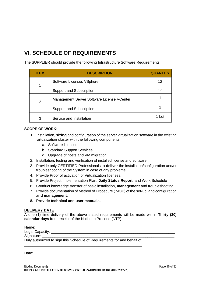# **VI. SCHEDULE OF REQUIREMENTS**

The SUPPLIER should provide the following Infrastructure Software Requirements:

| ITEM          | <b>DESCRIPTION</b>                         | <b>QUANTITY</b> |
|---------------|--------------------------------------------|-----------------|
|               | Software Licenses VSphere                  | 12              |
|               | <b>Support and Subscription</b>            | 12              |
| $\mathcal{P}$ | Management Server Software License VCenter |                 |
|               | <b>Support and Subscription</b>            |                 |
| 3             | Service and Installation                   | 1 Lot           |

### **SCOPE OF WORK:**

- 1. Installation, **sizing** and configuration of the server virtualization software in the existing virtualization cluster with the following components:
	- a. Software licenses
	- b. Standard Support Services
	- c. Upgrade of hosts and VM migration
- 2. Installation, testing and verification of installed license and software.
- 3. Provide only CERTIFIED Professionals to **deliver** the installation/configuration and/or troubleshooting of the System in case of any problems.
- 4. Provide Proof of activation of Virtualization licenses.
- 5. Provide Project Implementation Plan, **Daily Status Report** and Work Schedule
- 6. Conduct knowledge transfer of basic installation, **management** and troubleshooting.
- 7. Provide documentation of Method of Procedure ( MOP) of the set-up, and configuration **and management.**
- **8. Provide technical and user manuals.**

### **DELIVERY DATE**

A one (1) time delivery of the above stated requirements will be made within **Thirty (30) calendar days** from receipt of the Notice to Proceed (NTP).

Name: \_\_\_\_\_\_\_\_\_\_\_\_\_\_\_\_\_\_\_\_\_\_\_\_\_\_\_\_\_\_\_\_\_\_\_\_\_\_\_\_\_\_\_\_\_\_\_\_\_\_\_\_\_\_\_\_\_\_\_\_\_\_\_\_\_\_\_

Legal Capacity:

Signature:

Duly authorized to sign this Schedule of Requirements for and behalf of: \_\_\_\_\_\_\_\_\_\_\_\_\_\_\_\_\_\_\_\_\_\_\_\_\_\_\_\_\_\_\_\_\_\_\_\_\_\_\_\_\_\_\_\_\_\_\_\_\_\_\_\_\_\_\_\_\_

Date: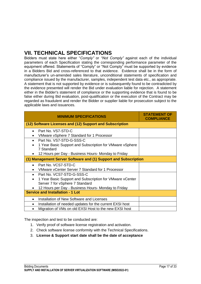# **VII. TECHNICAL SPECIFICATIONS**

Bidders must state here either "*Comply"* or *"Not Comply"* against each of the individual parameters of each Specification stating the corresponding performance parameter of the equipment offered. Statements of "Comply" or "Not Comply" must be supported by evidence in a Bidders Bid and cross-referenced to that evidence. Evidence shall be in the form of manufacturer's un-amended sales literature, unconditional statements of specification and compliance issued by the manufacturer, samples, independent test data etc., as appropriate. A statement that is not supported by evidence or is subsequently found to be contradicted by the evidence presented will render the Bid under evaluation liable for rejection. A statement either in the Bidder's statement of compliance or the supporting evidence that is found to be false either during Bid evaluation, post-qualification or the execution of the Contract may be regarded as fraudulent and render the Bidder or supplier liable for prosecution subject to the applicable laws and issuances.

| <b>MINIMUM SPECIFICATIONS</b>                                          | <b>STATEMENT OF</b><br><b>COMPLIANCE</b> |
|------------------------------------------------------------------------|------------------------------------------|
| (12) Software Licenses and (12) Support and Subscription               |                                          |
| Part No. VS7-STD-C<br>$\bullet$                                        |                                          |
| VMware vSphere 7 Standard for 1 Processor                              |                                          |
| Part No. VS7-STD-G-SSS-C                                               |                                          |
| 1 Year Basic Support and Subscription for VMware vSphere<br>7 Standard |                                          |
| 12 Hours per Day - Business Hours- Monday to Friday                    |                                          |
| (1) Management Server Software and (1) Support and Subscription        |                                          |
| Part No. VCS7-STD-C                                                    |                                          |
| VMware vCenter Server 7 Standard for 1 Processor                       |                                          |
| Part No. VCS7-STD-G-SSS-C                                              |                                          |
| 1 Year Basic Support and Subscription for VMware vCenter<br>$\bullet$  |                                          |
| Server 7 for vSphere 7 Standard                                        |                                          |
| 12 Hours per Day - Business Hours- Monday to Friday                    |                                          |
| <b>Service and Installation - 1 Lot</b>                                |                                          |
| Installation of New Software and Licenses                              |                                          |
| Installation of needed updates for the current EXSI host               |                                          |
| Migration of VMs on old EXSI Host to the new EXSI host                 |                                          |

The inspection and test to be conducted are:

- 1. Verify proof of software license registration and activation.
- 2. Check software license conformity with the Technical Specifications.
- 3. **License & Support start date shall be the date of acceptance**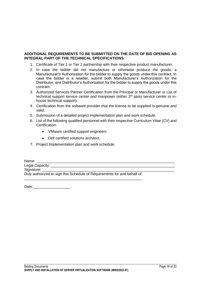### **ADDITIONAL REQUIREMENTS TO BE SUBMITTED ON THE DATE OF BID OPENING AS INTEGRAL PART OF THE TECHNICAL SPECIFICATIONS:**

- 1. Certificate of Tier 1 or Tier 2 partnership with their respective product manufacturer.
- 2. In case the bidder did not manufacture or otherwise produce the goods, a Manufacturer's Authorization for the bidder to supply the goods under this contract. In case the bidder is a reseller, submit both Manufacturer's Authorization for the Distributor, and Distributor's Authorization for the bidder to supply the goods under this contract.
- 3. Authorized Services Partner Certification from the Principal or Manufacturer or List of technical support service center and manpower (either 3<sup>rd</sup> party service center or inhouse technical support).
- 4. Certification from the software provider that the license to be supplied is genuine and valid.
- 5. Submission of a detailed project implementation plan and work schedule.
- 6. List of the following qualified personnel with their respective Curriculum Vitae (CV) and Certification:
	- VMware certified support engineers
	- Dell certified solutions architect.
- 7. Project Implementation plan and work schedule.

Name: \_\_\_\_\_\_\_\_\_\_\_\_\_\_\_\_\_\_\_\_\_\_\_\_\_\_\_\_\_\_\_\_\_\_\_\_\_\_\_\_\_\_\_\_\_\_\_\_\_\_\_\_\_\_\_\_\_\_\_\_\_\_\_\_\_\_\_ Legal Capacity: **Legal Capacity:**  $\blacksquare$ Signature: Duly authorized to sign this Schedule of Requirements for and behalf of: \_\_\_\_\_\_\_\_\_\_\_\_\_\_\_\_\_\_\_\_\_\_\_\_\_\_\_\_\_\_\_\_\_\_\_\_\_\_\_\_\_\_\_\_\_\_\_\_\_\_\_\_\_\_\_\_\_

Date: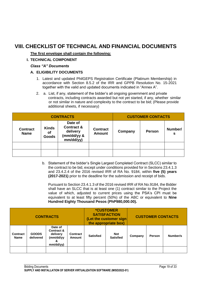# **VIII. CHECKLIST OF TECHNICAL AND FINANCIAL DOCUMENTS**

**The first envelope shall contain the following:**

### **I. TECHNICAL COMPONENT**

### *Class "A" Documents*

### **A. ELIGIBILITY DOCUMENTS**

- 1. Latest and updated PhilGEPS Registration Certificate (Platinum Membership) in accordance with Section 8.5.2 of the IRR and GPPB Resolution No. 15-2021 together with the valid and updated documents indicated in "Annex A".
- 2. a. List, if any, statement of the bidder's all ongoing government and private contracts, including contracts awarded but not yet started, if any, whether similar or not similar in nature and complexity to the contract to be bid; (Please provide additional sheets, if necessary)

| <b>CONTRACTS</b>               |                             |                                                                          |                                  |         | <b>CUSTOMER CONTACTS</b> |              |
|--------------------------------|-----------------------------|--------------------------------------------------------------------------|----------------------------------|---------|--------------------------|--------------|
| <b>Contract</b><br><b>Name</b> | <b>Kinds</b><br>Οf<br>Goods | Date of<br><b>Contract &amp;</b><br>delivery<br>(mm/dd/yy &<br>mm/dd/yy) | <b>Contract</b><br><b>Amount</b> | Company | <b>Person</b>            | Number/<br>s |
|                                |                             |                                                                          |                                  |         |                          |              |
|                                |                             |                                                                          |                                  |         |                          |              |

b. Statement of the bidder's Single Largest Completed Contract (SLCC) similar to the contract to be bid, except under conditions provided for in Sections 23.4.1.3 and 23.4.2.4 of the 2016 revised IRR of RA No. 9184, within **five (5) years (2017-2021)** prior to the deadline for the submission and receipt of bids.

Pursuant to Section 23.4.1.3 of the 2016 revised IRR of RA No.9184, the Bidder shall have an SLCC that is at least one (1) contract similar to the Project the value of which, adjusted to current prices using the PSA's CPI must be equivalent to at least fifty percent (50%) of the ABC or equivalent to **Nine Hundred Eighty Thousand Pesos (PhP980,000.00).**

| <b>CONTRACTS</b>               |                           |                                                                  | <b>*CUSTOMER</b><br><b>SATISFACTION</b><br>(Let the customer sign<br>the appropriate box) |                  | <b>CUSTOMER CONTACTS</b>       |         |        |          |
|--------------------------------|---------------------------|------------------------------------------------------------------|-------------------------------------------------------------------------------------------|------------------|--------------------------------|---------|--------|----------|
| <b>Contract</b><br><b>Name</b> | <b>GOODS</b><br>delivered | Date of<br>Contract &<br>delivery<br>(mm/dd/yy<br>&<br>mm/dd/yy) | <b>Contract</b><br>Amount                                                                 | <b>Satisfied</b> | <b>Not</b><br><b>Satisfied</b> | Company | Person | Number/s |
|                                |                           |                                                                  |                                                                                           |                  |                                |         |        |          |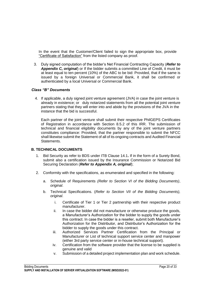In the event that the Customer/Client failed to sign the appropriate box, provide "Certificate of Satisfaction" from the listed company as proof.

3. Duly signed computation of the bidder's Net Financial Contracting Capacity (*Refer to Appendix C, original*) or If the bidder submits a committed Line of Credit, it must be at least equal to ten percent (10%) of the ABC to be bid: Provided, that if the same is issued by a foreign Universal or Commercial Bank, it shall be confirmed or authenticated by a local Universal or Commercial Bank.

### *Class "B" Documents*

4. If applicable, a duly signed joint venture agreement (JVA) in case the joint venture is already in existence; or duly notarized statements from all the potential joint venture partners stating that they will enter into and abide by the provisions of the JVA in the instance that the bid is successful.

Each partner of the joint venture shall submit their respective PhilGEPS Certificates of Registration in accordance with Section 8.5.2 of this IRR. The submission of technical and financial eligibility documents by any of the joint venture partners constitutes compliance: Provided, that the partner responsible to submit the NFCC shall likewise submit the Statement of all of its ongoing contracts and Audited Financial Statements.

### **B. TECHNICAL DOCUMENTS**

- 1. Bid Security as refer to BDS under ITB Clause 14.1**.** If in the form of a Surety Bond, submit also a certification issued by the Insurance Commission or Notarized Bid Securing Declaration (*Refer to Appendix A, original*);
- 2. Conformity with the specifications, as enumerated and specified in the following:
	- a. Schedule of Requirements *(Refer to Section VI of the Bidding Documents)*, *original*.
	- b. Technical Specifications. (*Refer to Section VII of the Bidding Documents), original*.
		- i. Certificate of Tier 1 or Tier 2 partnership with their respective product manufacturer.
		- ii. In case the bidder did not manufacture or otherwise produce the goods, a Manufacturer's Authorization for the bidder to supply the goods under this contract. In case the bidder is a reseller, submit both Manufacturer's Authorization for the Distributor, and Distributor's Authorization for the bidder to supply the goods under this contract.
		- iii. Authorized Services Partner Certification from the Principal or Manufacturer or List of technical support service center and manpower (either 3rd party service center or in-house technical support).
		- iv. Certification from the software provider that the license to be supplied is genuine and valid
		- v. Submission of a detailed project implementation plan and work schedule.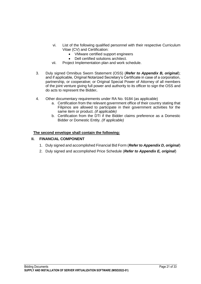- vi. List of the following qualified personnel with their respective Curriculum Vitae (CV) and Certification:
	- VMware certified support engineers
	- Dell certified solutions architect.
- vii. Project Implementation plan and work schedule.
- 3. Duly signed Omnibus Sworn Statement (OSS) (*Refer to Appendix B, original*); and if applicable, Original Notarized Secretary's Certificate in case of a corporation, partnership, or cooperative; or Original Special Power of Attorney of all members of the joint venture giving full power and authority to its officer to sign the OSS and do acts to represent the Bidder**.**
- 4. Other documentary requirements under RA No. 9184 (as applicable)
	- a. Certification from the relevant government office of their country stating that Filipinos are allowed to participate in their government activities for the same item or product. *(if applicable)*
	- b. Certification from the DTI if the Bidder claims preference as a Domestic Bidder or Domestic Entity. *(If applicable)*

### **The second envelope shall contain the following:**

### **II. FINANCIAL COMPONENT**

- 1. Duly signed and accomplished Financial Bid Form (*Refer to Appendix D, original*)
- 2. Duly signed and accomplished Price Schedule (*Refer to Appendix E, original*)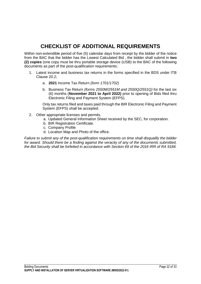# **CHECKLIST OF ADDITIONAL REQUIREMENTS**

Within non-extendible period of five (5) calendar days from receipt by the bidder of the notice from the BAC that the bidder has the Lowest Calculated Bid , the bidder shall submit in **two (2) copies** (one copy must be thru portable storage device (USB) to the BAC of the following documents as part of the post-qualification requirements:

- 1. Latest income and business tax returns in the forms specified in the BDS under ITB Clause 20.2;
	- a. **2021** Income Tax Return *(form 1701/1702)*
	- b. Business Tax Return *(forms 2550M/2551M and 2550Q/2551Q)* for the last six (6) months (**November 2021 to April 2022)** prior to opening of Bids filed thru Electronic Filing and Payment System (EFPS).

Only tax returns filed and taxes paid through the BIR Electronic Filing and Payment System (EFPS) shall be accepted.

- 2. Other appropriate licenses and permits.
	- a. Updated General Information Sheet received by the SEC, for corporation.
	- b. BIR Registration Certificate.
	- c. Company Profile
	- d. Location Map and Photo of the office.

*Failure to submit any of the post-qualification requirements on time shall disqualify the bidder for award. Should there be a finding against the veracity of any of the documents submitted, the Bid Security shall be forfeited in accordance with Section 69 of the 2016 IRR of RA 9184.*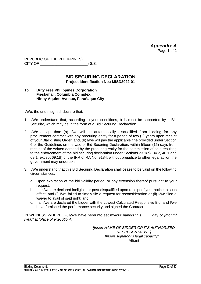*Appendix A* Page 1 of 2

REPUBLIC OF THE PHILIPPINES) CITY OF \_\_\_\_\_\_\_\_\_\_\_\_\_\_\_\_\_\_\_\_\_\_\_) S.S.

### **BID SECURING DECLARATION Project Identification No.: MISD2022-01**

### To: **Duty Free Philippines Corporation Fiestamall, Columbia Complex, Ninoy Aquino Avenue, Parañaque City**

I/We, the undersigned, declare that:

- 1. I/We understand that, according to your conditions, bids must be supported by a Bid Security, which may be in the form of a Bid Securing Declaration.
- 2. I/We accept that: (a) I/we will be automatically disqualified from bidding for any procurement contract with any procuring entity for a period of two (2) years upon receipt of your Blacklisting Order; and, (b) I/we will pay the applicable fine provided under Section 6 of the Guidelines on the Use of Bid Securing Declaration, within fifteen (15) days from receipt of the written demand by the procuring entity for the commission of acts resulting to the enforcement of the bid securing declaration under Sections 23.1(b), 34.2, 40.1 and 69.1, except 69.1(f),of the IRR of RA No. 9184; without prejudice to other legal action the government may undertake.
- 3. I/We understand that this Bid Securing Declaration shall cease to be valid on the following circumstances:
	- a. Upon expiration of the bid validity period, or any extension thereof pursuant to your request;
	- b. I am/we are declared ineligible or post-disqualified upon receipt of your notice to such effect, and (i) I/we failed to timely file a request for reconsideration or (ii) I/we filed a waiver to avail of said right; and
	- c. I am/we are declared the bidder with the Lowest Calculated Responsive Bid, and I/we have furnished the performance security and signed the Contract.

IN WITNESS WHEREOF, I/We have hereunto set my/our hand/s this \_\_\_\_ day of *[month] [year]* at *[place of execution]*.

> *[Insert NAME OF BIDDER OR ITS AUTHORIZED REPRESENTATIVE] [Insert signatory's legal capacity]* Affiant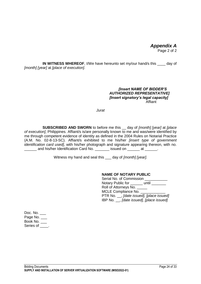### *Appendix A* Page 2 of 2

**IN WITNESS WHEREOF**, I/We have hereunto set my/our hand/s this \_\_\_\_ day of *[month] [year]* at *[place of execution]*.

### *[Insert NAME OF BIDDER'S AUTHORIZED REPRESENTATIVE] [Insert signatory's legal capacity]* **Affiant**

*Jurat*

**SUBSCRIBED AND SWORN** to before me this \_\_ day of *[month] [year]* at *[place of execution]*, Philippines. Affiant/s is/are personally known to me and was/were identified by me through competent evidence of identity as defined in the 2004 Rules on Notarial Practice (A.M. No. 02-8-13-SC). Affiant/s exhibited to me his/her *[insert type of government identification card used]*, with his/her photograph and signature appearing thereon, with no. \_\_\_\_\_\_ and his/her Identification Card No. \_\_\_\_\_\_\_ issued on \_\_\_\_\_\_ at \_\_\_\_\_\_.

Witness my hand and seal this \_\_\_ day of *[month] [year].*

### **NAME OF NOTARY PUBLIC**

Serial No. of Commission \_\_\_\_\_\_\_\_\_\_\_ Notary Public for \_\_\_\_\_\_ until \_\_\_\_\_\_ Roll of Attorneys No. MCLE Compliance No. \_ PTR No. \_\_, *[date issued], [place issued]*  IBP No. \_\_, *[date issued], [place issued]* 

Doc. No. \_\_\_ Page No. Book No. \_\_\_ Series of \_\_\_\_.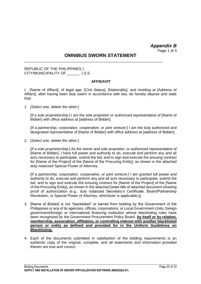*Appendix B* Page 1 of 3

### **OMNIBUS SWORN STATEMENT**

\_\_\_\_\_\_\_\_\_\_\_\_\_\_\_\_\_\_\_\_\_\_\_\_\_\_\_\_\_\_\_\_\_\_\_\_\_\_\_\_\_\_\_\_\_\_\_\_\_\_\_\_\_\_\_\_\_\_\_\_\_\_\_\_\_\_\_

REPUBLIC OF THE PHILIPPINES ) CITY/MUNICIPALITY OF  $\qquad$  ) S.S.

### **AFFIDAVIT**

I, [Name of Affiant], of legal age, [Civil Status], [Nationality], and residing at [Address of Affiant], after having been duly sworn in accordance with law, do hereby depose and state that:

*1. [Select one, delete the other:]*

*[If a sole proprietorship:]* I am the sole proprietor or authorized representative of [Name of Bidder] with office address at [address of Bidder];

*IIf a partnership, corporation, cooperative, or joint venture:* I am the duly authorized and designated representative of [Name of Bidder] with office address at [address of Bidder];

*2. [Select one, delete the other:]*

*[If a sole proprietorship:]* As the owner and sole proprietor, or authorized representative of [Name of Bidder], I have full power and authority to do, execute and perform any and all acts necessary to participate, submit the bid, and to sign and execute the ensuing contract for [Name of the Project] of the [Name of the Procuring Entity], as shown in the attached duly notarized Special Power of Attorney;

*[If a partnership, corporation, cooperative, or joint venture:]* I am granted full power and authority to do, execute and perform any and all acts necessary to participate, submit the bid, and to sign and execute the ensuing contract for [Name of the Project] of the [Name of the Procuring Entity], as shown in the attached [state title of attached document showing proof of authorization (e.g., duly notarized Secretary's Certificate, Board/Partnership Resolution, or Special Power of Attorney, whichever is applicable;)];

- 3. [Name of Bidder] is not "blacklisted" or barred from bidding by the Government of the Philippines or any of its agencies, offices, corporations, or Local Government Units, foreign government/foreign or international financing institution whose blacklisting rules have been recognized by the Government Procurement Policy Board, **by itself or by relation, membership, association, affiliation, or controlling interest with another blacklisted person or entity as defined and provided for in the Uniform Guidelines on Blacklisting;**
- 4. Each of the documents submitted in satisfaction of the bidding requirements is an authentic copy of the original, complete, and all statements and information provided therein are true and correct;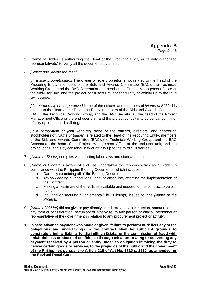- 5. [Name of Bidder] is authorizing the Head of the Procuring Entity or its duly authorized representative(s) to verify all the documents submitted;
- *6. [Select one, delete the rest:]*

*[If a sole proprietorship:]* The owner or sole proprietor is not related to the Head of the Procuring Entity, members of the Bids and Awards Committee (BAC), the Technical Working Group, and the BAC Secretariat, the head of the Project Management Office or the end-user unit, and the project consultants by consanguinity or affinity up to the third civil degree;

*[If a partnership or cooperative:]* None of the officers and members of *[Name of Bidder]* is related to the Head of the Procuring Entity, members of the Bids and Awards Committee (BAC), the Technical Working Group, and the BAC Secretariat, the head of the Project Management Office or the end-user unit, and the project consultants by consanguinity or affinity up to the third civil degree;

*[If a corporation or joint venture:]* None of the officers, directors, and controlling stockholders of *[Name of Bidder]* is related to the Head of the Procuring Entity, members of the Bids and Awards Committee (BAC), the Technical Working Group, and the BAC Secretariat, the head of the Project Management Office or the end-user unit, and the project consultants by consanguinity or affinity up to the third civil degree;

- 7. *[Name of Bidder]* complies with existing labor laws and standards; and
- 8. *[Name of Bidder]* is aware of and has undertaken the responsibilities as a Bidder in compliance with the Philippine Bidding Documents, which includes:
	- a. Carefully examining all of the Bidding Documents;
	- b. Acknowledging all conditions, local or otherwise, affecting the implementation of the Contract;
	- c. Making an estimate of the facilities available and needed for the contract to be bid, if any; and
	- d. Inquiring or securing Supplemental/Bid Bulletin(s) issued for the *[Name of the Project]*.
- 9. *[Name of Bidder]* did not give or pay directly or indirectly, any commission, amount, fee, or any form of consideration, pecuniary or otherwise, to any person or official, personnel or representative of the government in relation to any procurement project or activity.
- **10. In case advance payment was made or given, failure to perform or deliver any of the obligations and undertakings in the contract shall be sufficient grounds to constitute criminal liability for Swindling (Estafa) or the commission of fraud with unfaithfulness or abuse of confidence through misappropriating or converting any payment received by a person or entity under an obligation involving the duty to deliver certain goods or services, to the prejudice of the public and the government of the Philippines pursuant to Article 315 of Act No. 3815 s. 1930, as amended, or the Revised Penal Code.**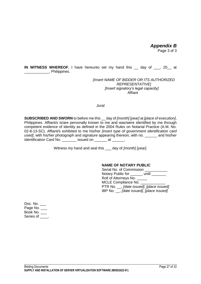*Appendix B* Page 3 of 3

**IN WITNESS WHEREOF**, I have hereunto set my hand this \_\_ day of \_\_\_, 20\_\_ at \_\_\_\_\_\_\_\_\_\_\_\_, Philippines.

> *[Insert NAME OF BIDDER OR ITS AUTHORIZED REPRESENTATIVE] [Insert signatory's legal capacity]* Affiant

*Jurat*

**SUBSCRIBED AND SWORN** to before me this \_\_ day of *[month] [year]* at *[place of execution]*, Philippines. Affiant/s is/are personally known to me and was/were identified by me through competent evidence of identity as defined in the 2004 Rules on Notarial Practice (A.M. No. 02-8-13-SC). Affiant/s exhibited to me his/her *[insert type of government identification card used]*, with his/her photograph and signature appearing thereon, with no. \_\_\_\_\_\_ and his/her Identification Card No. \_\_\_\_\_\_\_ issued on \_\_\_\_\_\_ at \_\_\_\_\_\_.

Witness my hand and seal this \_\_\_ day of *[month] [year].*

### **NAME OF NOTARY PUBLIC**

| Serial No. of Commission       |                                           |
|--------------------------------|-------------------------------------------|
| Notary Public for until ______ |                                           |
| Roll of Attorneys No. ___      |                                           |
| MCLE Compliance No. ____       |                                           |
|                                | PTR No. __, [date issued], [place issued] |
|                                | IBP No. _, [date issued], [place issued]  |

Doc. No. \_\_\_ Page No. \_\_\_ Book No. \_\_\_ Series of \_\_\_\_.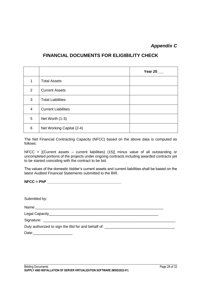### *Appendix C*

### **FINANCIAL DOCUMENTS FOR ELIGIBILITY CHECK**

|                |                            | Year 20 |
|----------------|----------------------------|---------|
| 1              | <b>Total Assets</b>        |         |
| $\overline{2}$ | <b>Current Assets</b>      |         |
| 3              | <b>Total Liabilities</b>   |         |
| $\overline{4}$ | <b>Current Liabilities</b> |         |
| 5              | Net Worth (1-3)            |         |
| 6              | Net Working Capital (2-4)  |         |

The Net Financial Contracting Capacity (NFCC) based on the above data is computed as follows:

NFCC = [(Current assets – current liabilities) (15)] minus value of all outstanding or uncompleted portions of the projects under ongoing contracts including awarded contracts yet to be started coinciding with the contract to be bid.

The values of the domestic bidder's current assets and current liabilities shall be based on the latest Audited Financial Statements submitted to the BIR.

### **NFCC = PhP \_\_\_\_\_\_\_\_\_\_\_\_\_\_\_\_\_\_\_\_\_\_\_\_\_\_\_\_\_\_\_\_\_\_\_\_**

| Submitted by:                                                                    |  |
|----------------------------------------------------------------------------------|--|
|                                                                                  |  |
|                                                                                  |  |
|                                                                                  |  |
| Duly authorized to sign the Bid for and behalf of: _____________________________ |  |
| Date: ______________________                                                     |  |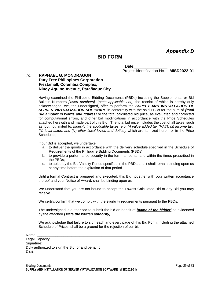*Appendix D*

### **BID FORM**

Date:

Project Identification No. : **MISD2022-01**

#### *To:* **RAPHAEL G. MONDRAGON Duty Free Philippines Corporation Fiestamall, Columbia Complex, Ninoy Aquino Avenue, Parañaque City**

Having examined the Philippine Bidding Documents (PBDs) including the Supplemental or Bid Bulletin Numbers *[insert numbers], (state applicable Lot),* the receipt of which is hereby duly acknowledged, we, the undersigned, offer to perform the *SUPPLY AND INSTALLATION OF SERVER VIRTUALIZATION SOFTWARE* in conformity with the said PBDs for the sum of *[total Bid amount in words and figures]* or the total calculated bid price, as evaluated and corrected for computational errors, and other bid modifications in accordance with the Price Schedules attached herewith and made part of this Bid. The total bid price includes the cost of all taxes, such as, but not limited to: *[specify the applicable taxes, e.g. (i) value added tax (VAT), (ii) income tax, (iii) local taxes, and (iv) other fiscal levies and duties],* which are itemized herein or in the Price Schedules,

If our Bid is accepted, we undertake:

- a. to deliver the goods in accordance with the delivery schedule specified in the Schedule of Requirements of the Philippine Bidding Documents (PBDs);
- b. to provide a performance security in the form, amounts, and within the times prescribed in the PBDs;
- c. to abide by the Bid Validity Period specified in the PBDs and it shall remain binding upon us at any time before the expiration of that period.

Until a formal Contract is prepared and executed, this Bid, together with your written acceptance thereof and your Notice of Award, shall be binding upon us.

We understand that you are not bound to accept the Lowest Calculated Bid or any Bid you may receive.

We certify/confirm that we comply with the eligibility requirements pursuant to the PBDs.

The undersigned is authorized to submit the bid on behalf of *[name of the bidder]* as evidenced by the attached *[state the written authority]***.**

We acknowledge that failure to sign each and every page of this Bid Form, including the attached Schedule of Prices, shall be a ground for the rejection of our bid.

| Name: ___________________                                                                                                                                                                                                      |
|--------------------------------------------------------------------------------------------------------------------------------------------------------------------------------------------------------------------------------|
| Legal Capacity: _____________________                                                                                                                                                                                          |
|                                                                                                                                                                                                                                |
| Duly authorized to sign the Bid for and behalf of:                                                                                                                                                                             |
| Date: the contract of the contract of the contract of the contract of the contract of the contract of the contract of the contract of the contract of the contract of the contract of the contract of the contract of the cont |
|                                                                                                                                                                                                                                |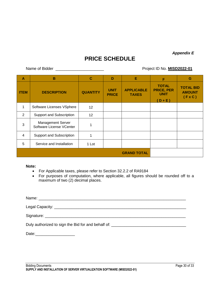*Appendix E*

# **PRICE SCHEDULE**

Name of Bidder \_\_\_\_\_\_\_\_\_\_\_\_\_\_\_\_\_\_\_\_\_\_ Project ID No. **MISD2022-01**

| A              | B                                                    | $\mathbf C$     | D                           | Е                                 | F                                                           | G                                                   |
|----------------|------------------------------------------------------|-----------------|-----------------------------|-----------------------------------|-------------------------------------------------------------|-----------------------------------------------------|
| <b>ITEM</b>    | <b>DESCRIPTION</b>                                   | <b>QUANTITY</b> | <b>UNIT</b><br><b>PRICE</b> | <b>APPLICABLE</b><br><b>TAXES</b> | <b>TOTAL</b><br><b>PRICE, PER</b><br><b>UNIT</b><br>$D + E$ | <b>TOTAL BID</b><br><b>AMOUNT</b><br>$(F \times C)$ |
| 1              | Software Licenses VSphere                            | 12 <sup>2</sup> |                             |                                   |                                                             |                                                     |
| 2              | Support and Subscription                             | 12              |                             |                                   |                                                             |                                                     |
| 3              | <b>Management Server</b><br>Software License VCenter |                 |                             |                                   |                                                             |                                                     |
| $\overline{4}$ | Support and Subscription                             |                 |                             |                                   |                                                             |                                                     |
| 5              | Service and Installation                             | 1 Lot           |                             |                                   |                                                             |                                                     |
|                |                                                      |                 |                             | <b>GRAND TOTAL</b>                |                                                             |                                                     |

#### **Note:**

- For Applicable taxes, please refer to Section 32.2.2 of RA9184
- For purposes of computation, where applicable, all figures should be rounded off to a maximum of two (2) decimal places.

| Duly authorized to sign the Bid for and behalf of: |
|----------------------------------------------------|
| Date: ______________________                       |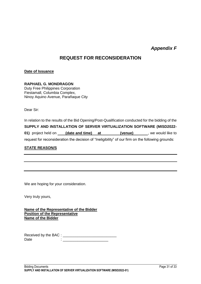### *Appendix F*

### **REQUEST FOR RECONSIDERATION**

### **Date of Issuance**

### **RAPHAEL G. MONDRAGON**

Duty Free Philippines Corporation Fiestamall, Columbia Complex, Ninoy Aquino Avenue, Parañaque City

Dear Sir:

In relation to the results of the Bid Opening/Post-Qualification conducted for the bidding of the **SUPPLY AND INSTALLATION OF SERVER VIRTUALIZATION SOFTWARE (MISD2022- 01)** project held on **(date and time) at (venue)** , we would like to request for reconsideration the decision of "Ineligibility" of our firm on the following grounds:

### **STATE REASON/S**

We are hoping for your consideration.

Very truly yours,

**Name of the Representative of the Bidder Position of the Representative Name of the Bidder**

Received by the BAC : \_\_\_\_\_\_\_\_\_\_\_\_\_\_\_\_\_\_\_\_\_\_\_\_\_\_  $Date$  :  $\qquad \qquad :$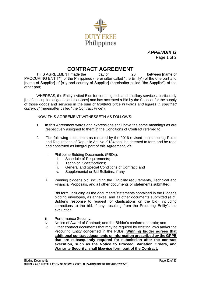

*APPENDIX G* Page 1 of 2

### **CONTRACT AGREEMENT**

THIS AGREEMENT made the \_\_\_\_\_ day of \_\_\_\_\_\_\_\_\_\_ 20\_\_\_\_\_ between [name of PROCURING ENTITY] of the Philippines (hereinafter called "the Entity") of the one part and [name of Supplier] of [city and country of Supplier] (hereinafter called "the Supplier") of the other part;

WHEREAS, the Entity invited Bids for certain goods and ancillary services, particularly [brief description of goods and services] and has accepted a Bid by the Supplier for the supply of those goods and services in the sum of *[contract price in words and figures in specified currency]* (hereinafter called "the Contract Price").

NOW THIS AGREEMENT WITNESSETH AS FOLLOWS:

- 1. In this Agreement words and expressions shall have the same meanings as are respectively assigned to them in the Conditions of Contract referred to.
- 2. The following documents as required by the 2016 revised Implementing Rules and Regulations of Republic Act No. 9184 shall be deemed to form and be read and construed as integral part of this Agreement, *viz.*:
	- i. Philippine Bidding Documents (PBDs);
		- i. Schedule of Requirements;
		- ii. Technical Specifications;
		- iii. General and Special Conditions of Contract; and
		- iv. Supplemental or Bid Bulletins, if any
	- ii. Winning bidder's bid, including the Eligibility requirements, Technical and Financial Proposals, and all other documents or statements submitted;

Bid form, including all the documents/statements contained in the Bidder's bidding envelopes, as annexes, and all other documents submitted (*e.g.*, Bidder's response to request for clarifications on the bid), including corrections to the bid, if any, resulting from the Procuring Entity's bid evaluation;

- iii. Performance Security;
- iv. Notice of Award of Contract; and the Bidder's conforme thereto; and
- v. Other contract documents that may be required by existing laws and/or the Procuring Entity concerned in the PBDs. **Winning bidder agrees that additional contract documents or information prescribed by the GPPB that are subsequently required for submission after the contract execution, such as the Notice to Proceed, Variation Orders, and Warranty Security, shall likewise form part of the Contract.**